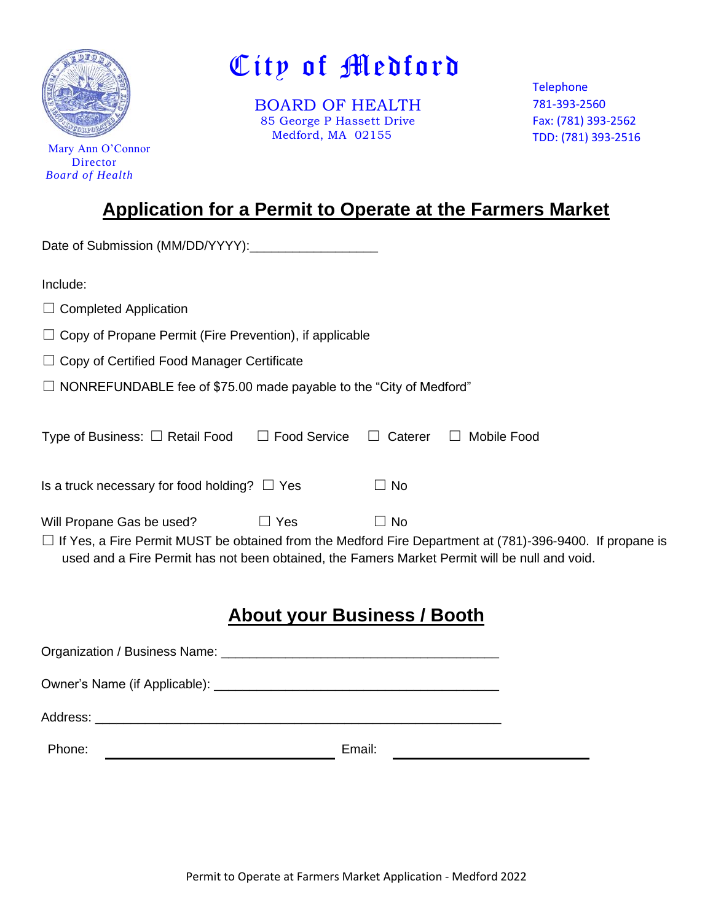

 Mary Ann O'Connor Director *Board of Health*

# City of Medford

 BOARD OF HEALTH 85 George P Hassett Drive Medford, MA 02155

Telephone 781-393-2560 Fax: (781) 393-2562 TDD: (781) 393-2516

# **Application for a Permit to Operate at the Farmers Market**

| Date of Submission (MM/DD/YYYY):                                                                                                                                                                                                                                         |
|--------------------------------------------------------------------------------------------------------------------------------------------------------------------------------------------------------------------------------------------------------------------------|
| Include:                                                                                                                                                                                                                                                                 |
| $\Box$ Completed Application                                                                                                                                                                                                                                             |
| $\Box$ Copy of Propane Permit (Fire Prevention), if applicable                                                                                                                                                                                                           |
| $\Box$ Copy of Certified Food Manager Certificate                                                                                                                                                                                                                        |
| $\Box$ NONREFUNDABLE fee of \$75.00 made payable to the "City of Medford"                                                                                                                                                                                                |
| Type of Business: $\Box$ Retail Food $\Box$ Food Service $\Box$ Caterer $\Box$ Mobile Food                                                                                                                                                                               |
| Is a truck necessary for food holding? $\Box$ Yes<br>$\Box$ No                                                                                                                                                                                                           |
| Will Propane Gas be used?<br>$\Box$ Yes<br>$\Box$ No<br>$\Box$ If Yes, a Fire Permit MUST be obtained from the Medford Fire Department at (781)-396-9400. If propane is<br>used and a Fire Permit has not been obtained, the Famers Market Permit will be null and void. |
| <b>About your Business / Booth</b>                                                                                                                                                                                                                                       |
|                                                                                                                                                                                                                                                                          |
|                                                                                                                                                                                                                                                                          |
| Address:                                                                                                                                                                                                                                                                 |

Phone: Email: Email: Email: Email: Email: Email: Email: Email: Email: Email: Email: Email: Email: Email: Email: Email: Phone: Phone: Phone: Phone: Phone: Phone: Phone: Phone: Phone: Phone: Phone: Phone: Phone: Phone: Phone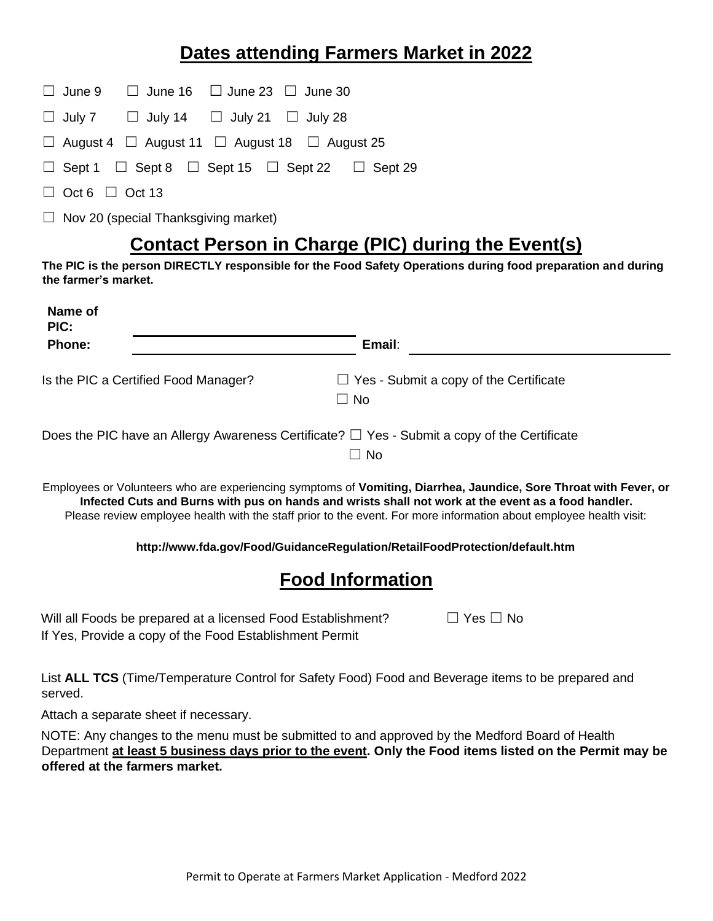## **Dates attending Farmers Market in 2022**

|  | $\Box$ June 9 $\Box$ June 16 $\Box$ June 23 $\Box$ June 30         |  |
|--|--------------------------------------------------------------------|--|
|  | $\Box$ July 7 $\Box$ July 14 $\Box$ July 21 $\Box$ July 28         |  |
|  | $\Box$ August 4 $\Box$ August 11 $\Box$ August 18 $\Box$ August 25 |  |

|  |  | $\Box$ Sept 1 $\Box$ Sept 8 $\Box$ Sept 15 $\Box$ Sept 22 $\Box$ Sept 29 |
|--|--|--------------------------------------------------------------------------|

 $\Box$  Oct 6  $\Box$  Oct 13

 $\Box$  Nov 20 (special Thanksgiving market)

## **Contact Person in Charge (PIC) during the Event(s)**

**The PIC is the person DIRECTLY responsible for the Food Safety Operations during food preparation and during the farmer's market.**

| Name of<br>PIC: |                                      |                                                                                                             |
|-----------------|--------------------------------------|-------------------------------------------------------------------------------------------------------------|
| Phone:          |                                      | Email:                                                                                                      |
|                 | Is the PIC a Certified Food Manager? | $\Box$ Yes - Submit a copy of the Certificate<br>$\Box$ No                                                  |
|                 |                                      | Does the PIC have an Allergy Awareness Certificate? $\square$ Yes - Submit a copy of the Certificate<br>No. |

Employees or Volunteers who are experiencing symptoms of **Vomiting, Diarrhea, Jaundice, Sore Throat with Fever, or Infected Cuts and Burns with pus on hands and wrists shall not work at the event as a food handler.** Please review employee health with the staff prior to the event. For more information about employee health visit:

#### **http://www.fda.gov/Food/GuidanceRegulation/RetailFoodProtection/default.htm**

## **Food Information**

Will all Foods be prepared at a licensed Food Establishment?  $\Box$  Yes  $\Box$  No If Yes, Provide a copy of the Food Establishment Permit

List **ALL TCS** (Time/Temperature Control for Safety Food) Food and Beverage items to be prepared and served.

Attach a separate sheet if necessary.

NOTE: Any changes to the menu must be submitted to and approved by the Medford Board of Health Department **at least 5 business days prior to the event. Only the Food items listed on the Permit may be offered at the farmers market.**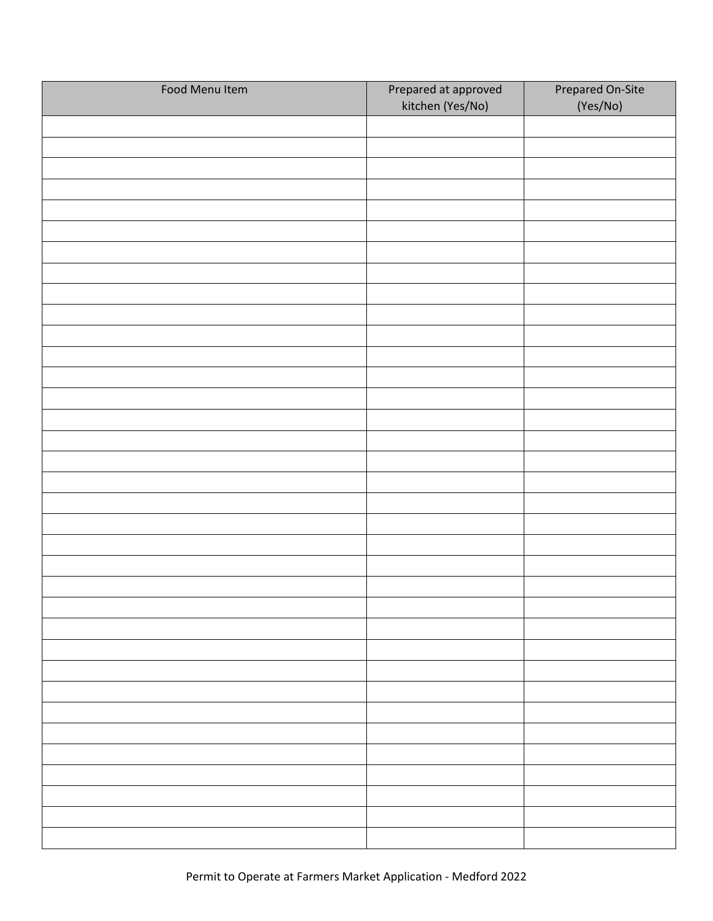| Food Menu Item | Prepared at approved<br>kitchen (Yes/No) | Prepared On-Site<br>(Yes/No) |
|----------------|------------------------------------------|------------------------------|
|                |                                          |                              |
|                |                                          |                              |
|                |                                          |                              |
|                |                                          |                              |
|                |                                          |                              |
|                |                                          |                              |
|                |                                          |                              |
|                |                                          |                              |
|                |                                          |                              |
|                |                                          |                              |
|                |                                          |                              |
|                |                                          |                              |
|                |                                          |                              |
|                |                                          |                              |
|                |                                          |                              |
|                |                                          |                              |
|                |                                          |                              |
|                |                                          |                              |
|                |                                          |                              |
|                |                                          |                              |
|                |                                          |                              |
|                |                                          |                              |
|                |                                          |                              |
|                |                                          |                              |
|                |                                          |                              |
|                |                                          |                              |
|                |                                          |                              |
|                |                                          |                              |
|                |                                          |                              |
|                |                                          |                              |
|                |                                          |                              |
|                |                                          |                              |
|                |                                          |                              |
|                |                                          |                              |
|                |                                          |                              |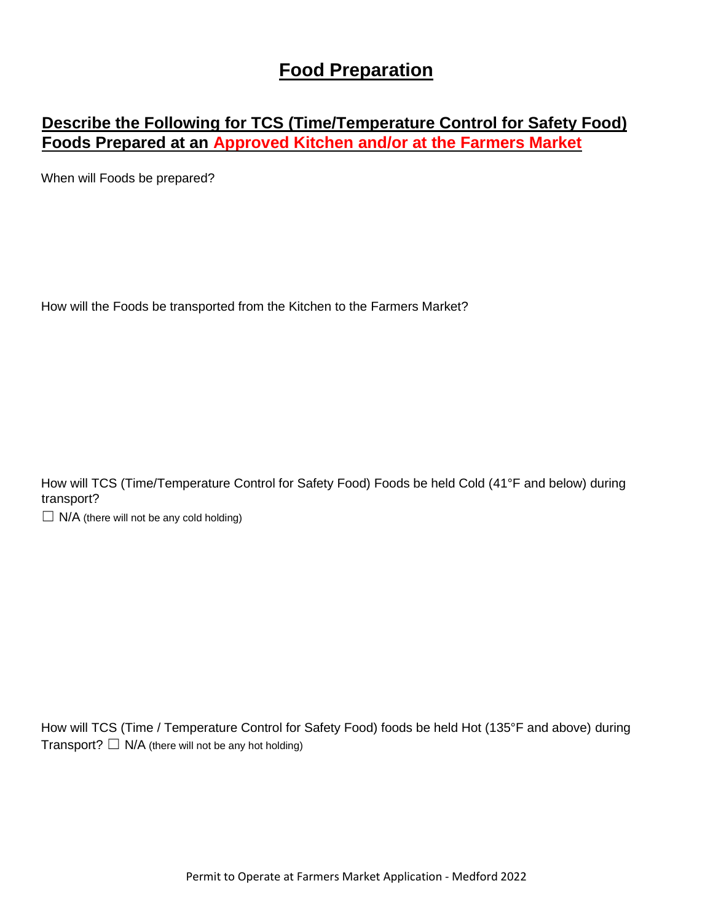#### **Food Preparation**

#### **Describe the Following for TCS (Time/Temperature Control for Safety Food) Foods Prepared at an Approved Kitchen and/or at the Farmers Market**

When will Foods be prepared?

How will the Foods be transported from the Kitchen to the Farmers Market?

How will TCS (Time/Temperature Control for Safety Food) Foods be held Cold (41°F and below) during transport?

 $\Box$  N/A (there will not be any cold holding)

How will TCS (Time / Temperature Control for Safety Food) foods be held Hot (135°F and above) during Transport?  $\Box$  N/A (there will not be any hot holding)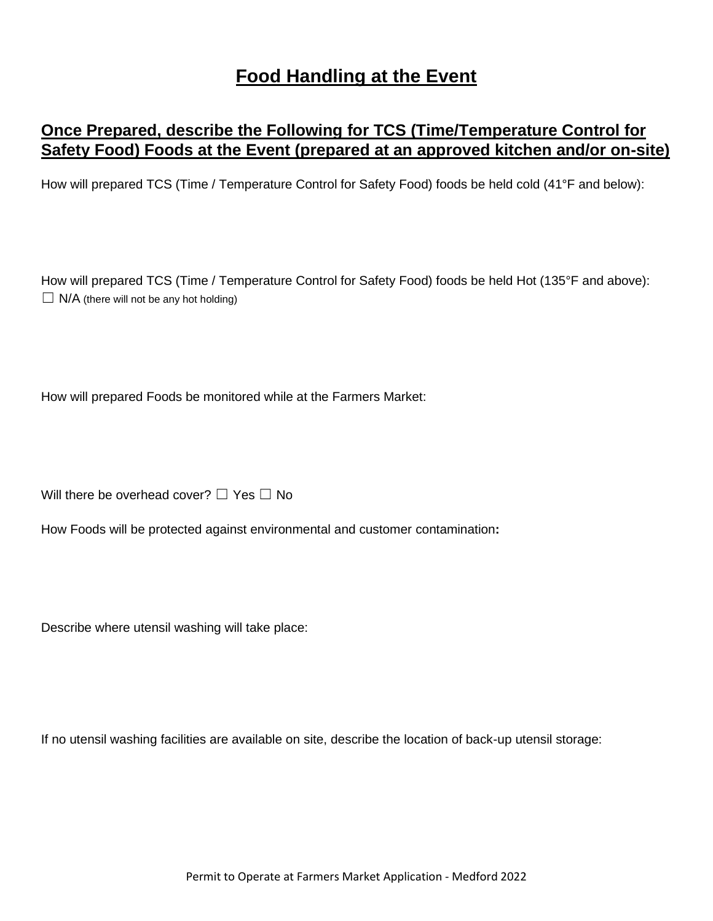## **Food Handling at the Event**

#### **Once Prepared, describe the Following for TCS (Time/Temperature Control for Safety Food) Foods at the Event (prepared at an approved kitchen and/or on-site)**

How will prepared TCS (Time / Temperature Control for Safety Food) foods be held cold (41°F and below):

How will prepared TCS (Time / Temperature Control for Safety Food) foods be held Hot (135°F and above):  $\Box$  N/A (there will not be any hot holding)

How will prepared Foods be monitored while at the Farmers Market:

Will there be overhead cover?  $\Box$  Yes  $\Box$  No

How Foods will be protected against environmental and customer contamination**:** 

Describe where utensil washing will take place:

If no utensil washing facilities are available on site, describe the location of back-up utensil storage: